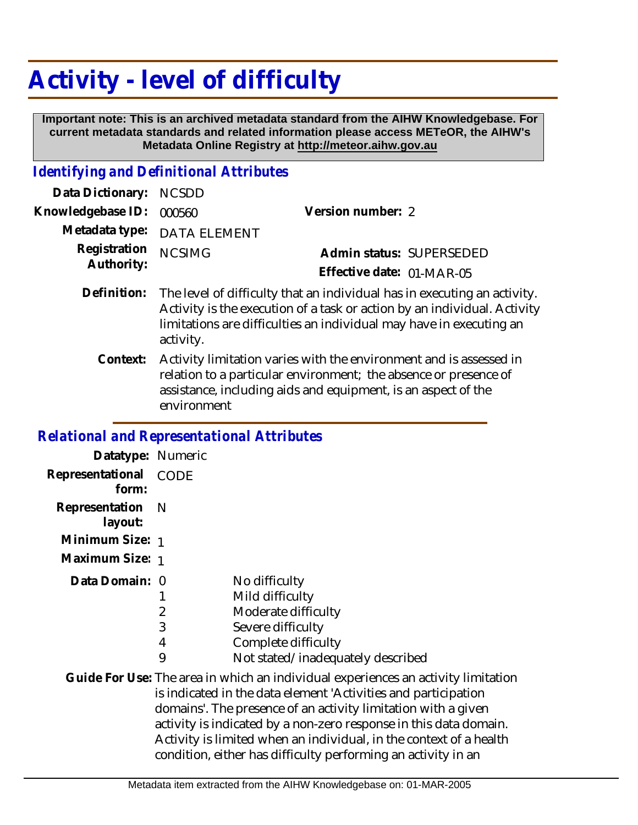## **Activity - level of difficulty**

 **Important note: This is an archived metadata standard from the AIHW Knowledgebase. For current metadata standards and related information please access METeOR, the AIHW's Metadata Online Registry at http://meteor.aihw.gov.au**

## *Identifying and Definitional Attributes*

| Data Dictionary: NCSDD            |                             |                           |  |
|-----------------------------------|-----------------------------|---------------------------|--|
| Knowledgebase ID: 000560          |                             | Version number: 2         |  |
|                                   | Metadata type: DATA ELEMENT |                           |  |
| Registration NCSIMG<br>Authority: |                             | Admin status: SUPERSEDED  |  |
|                                   |                             | Effective date: 01-MAR-05 |  |
|                                   |                             |                           |  |

- Definition: The level of difficulty that an individual has in executing an activity. Activity is the execution of a task or action by an individual. Activity limitations are difficulties an individual may have in executing an activity.
	- Activity limitation varies with the environment and is assessed in relation to a particular environment; the absence or presence of assistance, including aids and equipment, is an aspect of the environment **Context:**

## *Relational and Representational Attributes*

| Datatype: Numeric           |                  |                                                                                                                                                                                                                                                                                                                                                                 |
|-----------------------------|------------------|-----------------------------------------------------------------------------------------------------------------------------------------------------------------------------------------------------------------------------------------------------------------------------------------------------------------------------------------------------------------|
| Representational<br>form:   | <b>CODE</b>      |                                                                                                                                                                                                                                                                                                                                                                 |
| Representation N<br>layout: |                  |                                                                                                                                                                                                                                                                                                                                                                 |
| Minimum Size: 1             |                  |                                                                                                                                                                                                                                                                                                                                                                 |
| Maximum Size: 1             |                  |                                                                                                                                                                                                                                                                                                                                                                 |
| Data Domain: 0              | 2<br>3<br>4<br>9 | No difficulty<br>Mild difficulty<br>Moderate difficulty<br>Severe difficulty<br>Complete difficulty<br>Not stated/inadequately described                                                                                                                                                                                                                        |
|                             |                  | Guide For Use: The area in which an individual experiences an activity limitation<br>is indicated in the data element 'Activities and participation<br>domains'. The presence of an activity limitation with a given<br>activity is indicated by a non-zero response in this data domain.<br>Activity is limited when an individual, in the context of a health |

condition, either has difficulty performing an activity in an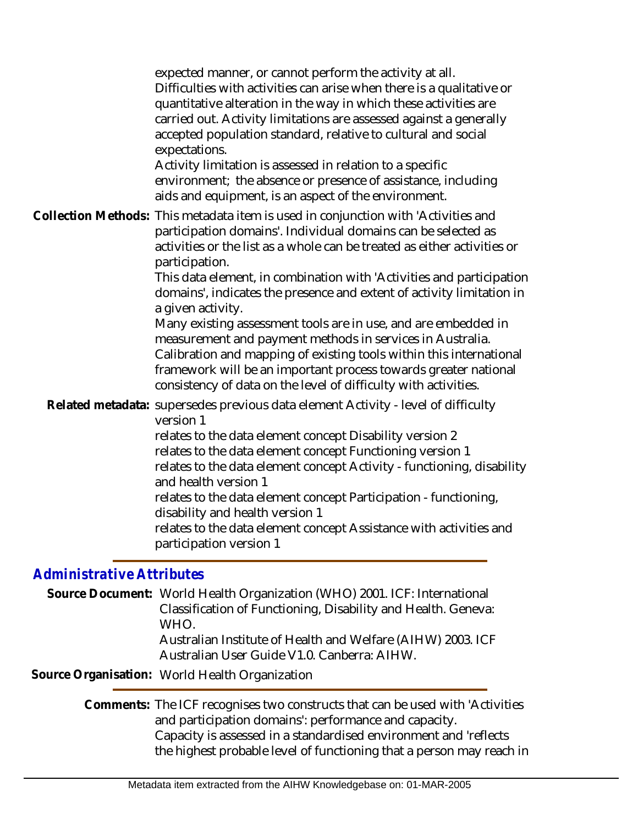expected manner, or cannot perform the activity at all. Difficulties with activities can arise when there is a qualitative or quantitative alteration in the way in which these activities are carried out. Activity limitations are assessed against a generally accepted population standard, relative to cultural and social expectations. Activity limitation is assessed in relation to a specific environment; the absence or presence of assistance, including aids and equipment, is an aspect of the environment. Collection Methods: This metadata item is used in conjunction with 'Activities and participation domains'. Individual domains can be selected as activities or the list as a whole can be treated as either activities or participation. This data element, in combination with 'Activities and participation domains', indicates the presence and extent of activity limitation in a given activity. Many existing assessment tools are in use, and are embedded in measurement and payment methods in services in Australia. Calibration and mapping of existing tools within this international framework will be an important process towards greater national consistency of data on the level of difficulty with activities. Related metadata: supersedes previous data element Activity - level of difficulty version 1 relates to the data element concept Disability version 2 relates to the data element concept Functioning version 1 relates to the data element concept Activity - functioning, disability and health version 1 relates to the data element concept Participation - functioning, disability and health version 1 relates to the data element concept Assistance with activities and participation version 1 *Administrative Attributes*

Source Document: World Health Organization (WHO) 2001. ICF: International Classification of Functioning, Disability and Health. Geneva: WHO. Australian Institute of Health and Welfare (AIHW) 2003. ICF Australian User Guide V1.0. Canberra: AIHW.

**Source Organisation:** World Health Organization

Comments: The ICF recognises two constructs that can be used with 'Activities and participation domains': performance and capacity. Capacity is assessed in a standardised environment and 'reflects the highest probable level of functioning that a person may reach in